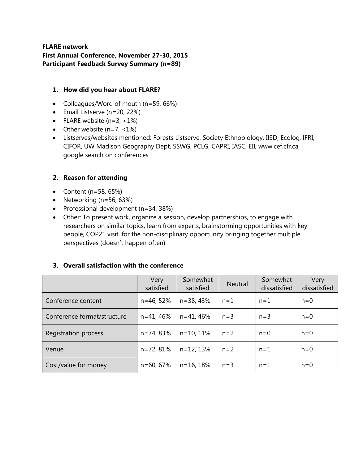## **FLARE network First Annual Conference, November 27-30, 2015 Participant Feedback Survey Summary (n=89)**

### **1. How did you hear about FLARE?**

- Colleagues/Word of mouth (n=59, 66%)
- Email Listserve (n=20, 22%)
- FLARE website  $(n=3, 1\%)$
- Other website  $(n=7, 1\%)$
- Listserves/websites mentioned: Forests Listserve, Society Ethnobiology, IISD, Ecolog, IFRI, CIFOR, UW Madison Geography Dept, SSWG, PCLG, CAPRI, IASC, EII, www.cef.cfr.ca, google search on conferences

# **2. Reason for attending**

- Content ( $n=58, 65\%$ )
- Networking  $(n=56, 63%)$
- Professional development  $(n=34, 38%)$
- Other: To present work, organize a session, develop partnerships, to engage with researchers on similar topics, learn from experts, brainstorming opportunities with key people, COP21 visit, for the non-disciplinary opportunity bringing together multiple perspectives (doesn't happen often)

### **3. Overall satisfaction with the conference**

|                             | Very<br>satisfied | Somewhat<br>satisfied | <b>Neutral</b> | Somewhat<br>dissatisfied | Very<br>dissatisfied |
|-----------------------------|-------------------|-----------------------|----------------|--------------------------|----------------------|
| Conference content          | $n = 46, 52%$     | $n = 38,43%$          | $n=1$          | $n=1$                    | $n=0$                |
| Conference format/structure | $n = 41, 46%$     | $n = 41, 46%$         | $n=3$          | $n=3$                    | $n=0$                |
| Registration process        | n=74, 83%         | $n=10, 11%$           | $n=2$          | $n=0$                    | $n=0$                |
| Venue                       | n=72, 81%         | $n=12, 13%$           | $n=2$          | $n=1$                    | $n=0$                |
| Cost/value for money        | $n = 60, 67%$     | $n = 16, 18%$         | $n=3$          | $n=1$                    | $n=0$                |